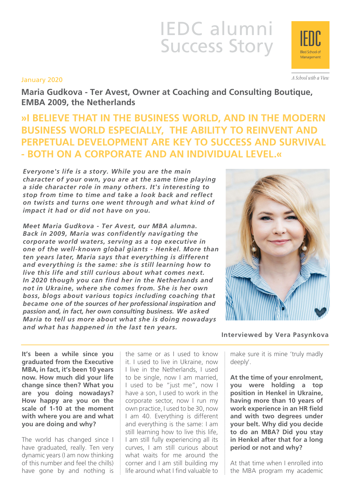# IEDC alumni Success Story

### January 2020

A School with a View

**Maria Gudkova - Ter Avest, Owner at Coaching and Consulting Boutique, EMBA 2009, the Netherlands**

## **»I BELIEVE THAT IN THE BUSINESS WORLD, AND IN THE MODERN BUSINESS WORLD ESPECIALLY, THE ABILITY TO REINVENT AND PERPETUAL DEVELOPMENT ARE KEY TO SUCCESS AND SURVIVAL - BOTH ON A CORPORATE AND AN INDIVIDUAL LEVEL.«**

*Everyone's life is a story. While you are the main character of your own, you are at the same time playing a side character role in many others. It's interesting to stop from time to time and take a look back and reflect on twists and turns one went through and what kind of impact it had or did not have on you.*

*Meet Maria Gudkova - Ter Avest, our MBA alumna. Back in 2009, Maria was confidently navigating the corporate world waters, serving as a top executive in one of the well-known global giants - Henkel. More than ten years later, Maria says that everything is different and everything is the same: she is still learning how to live this life and still curious about what comes next. In 2020 though you can find her in the Netherlands and not in Ukraine, where she comes from. She is her own boss, blogs about various topics including coaching that became one of the sources of her professional inspiration and passion and, in fact, her own consulting business. We asked Maria to tell us more about what she is doing nowadays and what has happened in the last ten years.*



 **Interviewed by Vera Pasynkova**

**It's been a while since you graduated from the Executive MBA, in fact, it's been 10 years now. How much did your life change since then? What you are you doing nowadays? How happy are you on the scale of 1-10 at the moment with where you are and what you are doing and why?**

The world has changed since I have graduated, really. Ten very dynamic years (I am now thinking of this number and feel the chills) have gone by and nothing is

the same or as I used to know it. I used to live in Ukraine, now I live in the Netherlands, I used to be single, now I am married, I used to be "just me", now I have a son, I used to work in the corporate sector, now I run my own practice, I used to be 30, now I am 40. Everything is different and everything is the same: I am still learning how to live this life, I am still fully experiencing all its curves, I am still curious about what waits for me around the corner and I am still building my life around what I find valuable to make sure it is mine 'truly madly deeply'.

**At the time of your enrolment, you were holding a top position in Henkel in Ukraine, having more than 10 years of work experience in an HR field and with two degrees under your belt. Why did you decide to do an MBA? Did you stay in Henkel after that for a long period or not and why?**

At that time when I enrolled into the MBA program my academic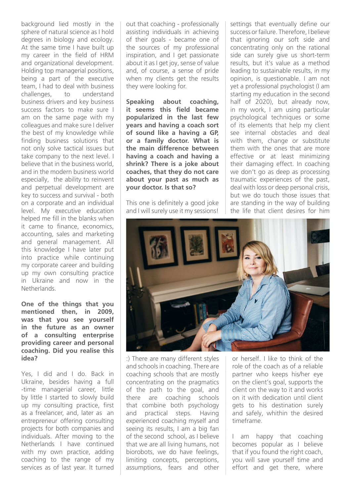background lied mostly in the sphere of natural science as I hold degrees in biology and ecology. At the same time I have built up my career in the field of HRM and organizational development. Holding top managerial positions, being a part of the executive team, I had to deal with business challenges, to understand business drivers and key business success factors to make sure I am on the same page with my colleagues and make sure I deliver the best of my knowledge while finding business solutions that not only solve tactical issues but take company to the next level. I believe that in the business world, and in the modern business world especially, the ability to reinvent and perpetual development are key to success and survival - both on a corporate and an individual level. My executive education helped me fill in the blanks when it came to finance, economics, accounting, sales and marketing and general management. All this knowledge I have later put into practice while continuing my corporate career and building up my own consulting practice in Ukraine and now in the Netherlands.

**One of the things that you mentioned then, in 2009, was that you see yourself in the future as an owner of a consulting enterprise providing career and personal coaching. Did you realise this idea?**

Yes, I did and I do. Back in Ukraine, besides having a full -time managerial career, little by little I started to slowly build up my consulting practice, first as a freelancer, and, later as an entrepreneur offering consulting projects for both companies and individuals. After moving to the Netherlands I have continued with my own practice, adding coaching to the range of my services as of last year. It turned

out that coaching - professionally assisting individuals in achieving of their goals - became one of the sources of my professional inspiration, and I get passionate about it as I get joy, sense of value and, of course, a sense of pride when my clients get the results they were looking for.

**Speaking about coaching, it seems this field became popularized in the last few years and having a coach sort of sound like a having a GP, or a family doctor. What is the main difference between having a coach and having a shrink? There is a joke about coaches, that they do not care about your past as much as your doctor. Is that so?**

This one is definitely a good joke and I will surely use it my sessions!

settings that eventually define our success or failure. Therefore, I believe that ignoring our soft side and concentrating only on the rational side can surely give us short-term results, but it's value as a method leading to sustainable results, in my opinion, is questionable. I am not yet a professional psychologist (I am starting my education in the second half of 2020), but already now, in my work, I am using particular psychological techniques or some of its elements that help my client see internal obstacles and deal with them, change or substitute them with the ones that are more effective or at least minimizing their damaging effect. In coaching we don't go as deep as processing traumatic experiences of the past, deal with loss or deep personal crisis, but we do touch those issues that are standing in the way of building the life that client desires for him



:) There are many different styles and schools in coaching. There are coaching schools that are mostly concentrating on the pragmatics of the path to the goal, and there are coaching schools that combine both psychology and practical steps. Having experienced coaching myself and seeing its results, I am a big fan of the second school, as I believe that we are all living humans, not biorobots, we do have feelings, limiting concepts, perceptions, assumptions, fears and other

or herself. I like to think of the role of the coach as of a reliable partner who keeps his/her eye on the client's goal, supports the client on the way to it and works on it with dedication until client gets to his destination surely and safely, whithin the desired timeframe.

am happy that coaching becomes popular as I believe that if you found the right coach, you will save yourself time and effort and get there, where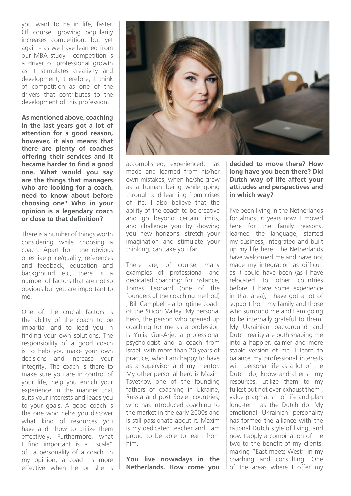you want to be in life, faster. Of course, growing popularity increases competition, but yet again - as we have learned from our MBA study - competition is a driver of professional growth as it stimulates creativity and development, therefore, I think of competition as one of the drivers that contributes to the development of this profession.

**As mentioned above, coaching in the last years got a lot of attention for a good reason, however, it also means that there are plenty of coaches offering their services and it became harder to find a good one. What would you say are the things that managers who are looking for a coach, need to know about before choosing one? Who in your opinion is a legendary coach or close to that definition?**

There is a number of things worth considering while choosing a coach. Apart from the obvious ones like price/quality, references and feedback, education and background etc, there is a number of factors that are not so obvious but yet, are important to me.

One of the crucial factors is the ability of the coach to be impartial and to lead you in finding your own solutions. The responsibility of a good coach is to help you make your own decisions and increase your integrity. The coach is there to make sure you are in control of your life, help you enrich your experience in the manner that suits your interests and leads you to your goals. A good coach is the one who helps you discover what kind of resources you have and how to utilize them effectively. Furthermore, what I find important is a "scale" of a personality of a coach. In my opinion, a coach is more effective when he or she is



accomplished, experienced, has made and learned from his/her own mistakes, when he/she grew as a human being while going through and learning from crises of life. I also believe that the ability of the coach to be creative and go beyond certain limits, and challenge you by showing you new horizons, stretch your imagination and stimulate your thinking, can take you far.

There are, of course, many examples of professional and dedicated coaching: for instance, Tomas Leonard (one of the founders of the coaching method) , Bill Campbell - a longtime coach of the Silicon Valley. My personal hero, the person who opened up coaching for me as a profession is Yulia Gur-Arje, a professional psychologist and a coach from Israel, with more than 20 years of practice, who I am happy to have as a supervisor and my mentor. My other personal hero is Maxim Tsvetkov, one of the founding fathers of coaching in Ukraine, Russia and post Soviet countries, who has introduced coaching to the market in the early 2000s and is still passionate about it. Maxim is my dedicated teacher and I am proud to be able to learn from him.

**You live nowadays in the Netherlands. How come you**  **decided to move there? How long have you been there? Did Dutch way of life affect your attitudes and perspectives and in which way?**

I've been living in the Netherlands for almost 6 years now. I moved here for the family reasons, learned the language, started my business, integrated and built up my life here. The Netherlands have welcomed me and have not made my integration as difficult as it could have been (as I have relocated to other countries before, I have some experience in that area), I have got a lot of support from my family and those who surround me and I am going to be internally grateful to them. My Ukrainian background and Dutch reality are both shaping me into a happier, calmer and more stable version of me. I learn to balance my professional interests with personal life as a lot of the Dutch do, know and cherish my resources, utilize them to my fullest but not over-exhaust them , value pragmatism of life and plan long-term as the Dutch do. My emotional Ukrainian personality has formed the alliance with the rational Dutch style of living, and now I apply a combination of the two to the benefit of my clients, making "East meets West" in my coaching and consulting. One of the areas where I offer my